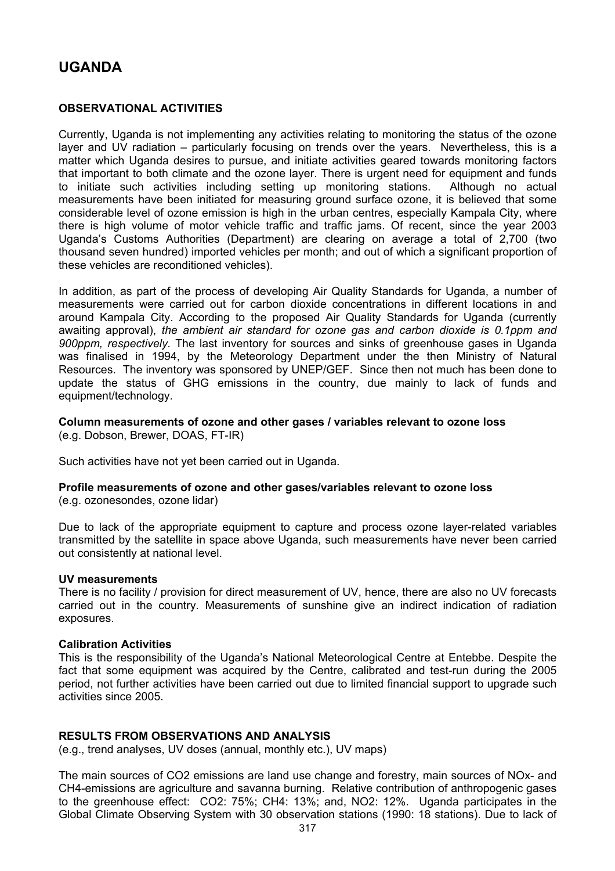# **UGANDA**

# **OBSERVATIONAL ACTIVITIES**

Currently, Uganda is not implementing any activities relating to monitoring the status of the ozone layer and UV radiation – particularly focusing on trends over the years. Nevertheless, this is a matter which Uganda desires to pursue, and initiate activities geared towards monitoring factors that important to both climate and the ozone layer. There is urgent need for equipment and funds to initiate such activities including setting up monitoring stations. Although no actual measurements have been initiated for measuring ground surface ozone, it is believed that some considerable level of ozone emission is high in the urban centres, especially Kampala City, where there is high volume of motor vehicle traffic and traffic jams. Of recent, since the year 2003 Uganda's Customs Authorities (Department) are clearing on average a total of 2,700 (two thousand seven hundred) imported vehicles per month; and out of which a significant proportion of these vehicles are reconditioned vehicles).

In addition, as part of the process of developing Air Quality Standards for Uganda, a number of measurements were carried out for carbon dioxide concentrations in different locations in and around Kampala City. According to the proposed Air Quality Standards for Uganda (currently awaiting approval), *the ambient air standard for ozone gas and carbon dioxide is 0.1ppm and 900ppm, respectively.* The last inventory for sources and sinks of greenhouse gases in Uganda was finalised in 1994, by the Meteorology Department under the then Ministry of Natural Resources. The inventory was sponsored by UNEP/GEF. Since then not much has been done to update the status of GHG emissions in the country, due mainly to lack of funds and equipment/technology.

**Column measurements of ozone and other gases / variables relevant to ozone loss**  (e.g. Dobson, Brewer, DOAS, FT-IR)

Such activities have not yet been carried out in Uganda.

# **Profile measurements of ozone and other gases/variables relevant to ozone loss**

(e.g. ozonesondes, ozone lidar)

Due to lack of the appropriate equipment to capture and process ozone layer-related variables transmitted by the satellite in space above Uganda, such measurements have never been carried out consistently at national level.

## **UV measurements**

There is no facility / provision for direct measurement of UV, hence, there are also no UV forecasts carried out in the country. Measurements of sunshine give an indirect indication of radiation exposures.

## **Calibration Activities**

This is the responsibility of the Uganda's National Meteorological Centre at Entebbe. Despite the fact that some equipment was acquired by the Centre, calibrated and test-run during the 2005 period, not further activities have been carried out due to limited financial support to upgrade such activities since 2005.

## **RESULTS FROM OBSERVATIONS AND ANALYSIS**

(e.g., trend analyses, UV doses (annual, monthly etc.), UV maps)

The main sources of CO2 emissions are land use change and forestry, main sources of NOx- and CH4-emissions are agriculture and savanna burning. Relative contribution of anthropogenic gases to the greenhouse effect: CO2: 75%; CH4: 13%; and, NO2: 12%. Uganda participates in the Global Climate Observing System with 30 observation stations (1990: 18 stations). Due to lack of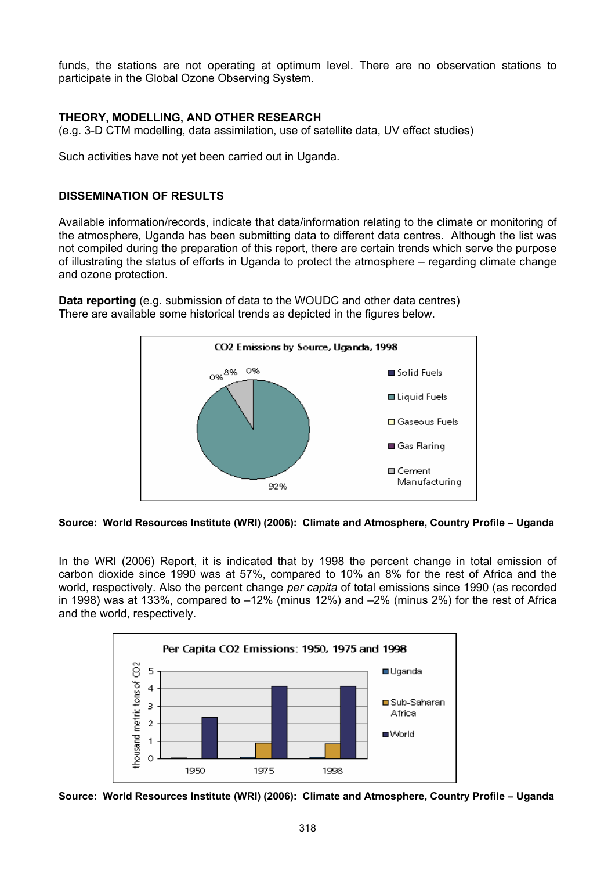funds, the stations are not operating at optimum level. There are no observation stations to participate in the Global Ozone Observing System.

# **THEORY, MODELLING, AND OTHER RESEARCH**

(e.g. 3-D CTM modelling, data assimilation, use of satellite data, UV effect studies)

Such activities have not yet been carried out in Uganda.

# **DISSEMINATION OF RESULTS**

Available information/records, indicate that data/information relating to the climate or monitoring of the atmosphere, Uganda has been submitting data to different data centres. Although the list was not compiled during the preparation of this report, there are certain trends which serve the purpose of illustrating the status of efforts in Uganda to protect the atmosphere – regarding climate change and ozone protection.

**Data reporting** (e.g. submission of data to the WOUDC and other data centres) There are available some historical trends as depicted in the figures below.



**Source: World Resources Institute (WRI) (2006): Climate and Atmosphere, Country Profile – Uganda** 

In the WRI (2006) Report, it is indicated that by 1998 the percent change in total emission of carbon dioxide since 1990 was at 57%, compared to 10% an 8% for the rest of Africa and the world, respectively. Also the percent change *per capita* of total emissions since 1990 (as recorded in 1998) was at 133%, compared to  $-12\%$  (minus 12%) and  $-2\%$  (minus 2%) for the rest of Africa and the world, respectively.



**Source: World Resources Institute (WRI) (2006): Climate and Atmosphere, Country Profile – Uganda**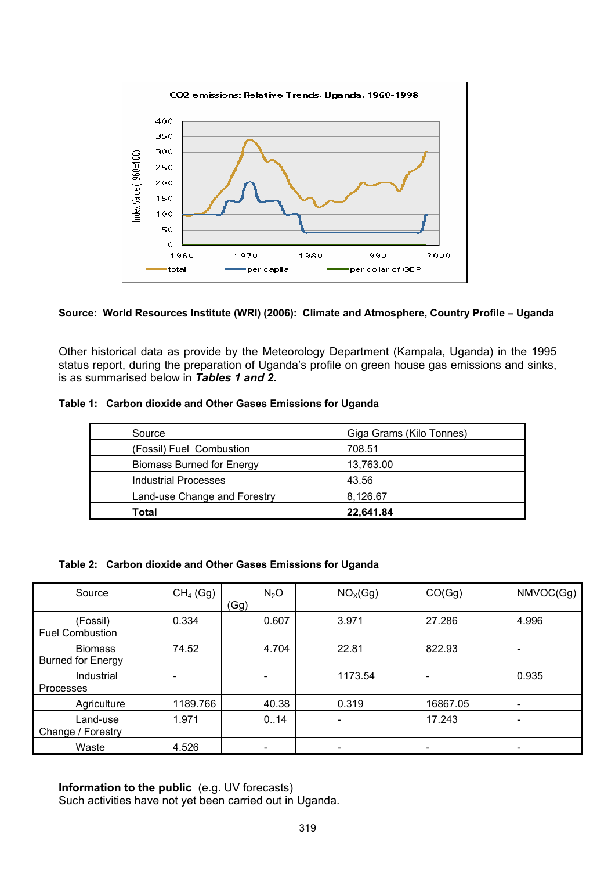

## **Source: World Resources Institute (WRI) (2006): Climate and Atmosphere, Country Profile – Uganda**

Other historical data as provide by the Meteorology Department (Kampala, Uganda) in the 1995 status report, during the preparation of Uganda's profile on green house gas emissions and sinks, is as summarised below in *Tables 1 and 2.* 

#### **Table 1: Carbon dioxide and Other Gases Emissions for Uganda**

| Source                           | Giga Grams (Kilo Tonnes) |  |  |
|----------------------------------|--------------------------|--|--|
| (Fossil) Fuel Combustion         | 708.51                   |  |  |
| <b>Biomass Burned for Energy</b> | 13,763.00                |  |  |
| Industrial Processes             | 43.56                    |  |  |
| Land-use Change and Forestry     | 8,126.67                 |  |  |
| Total                            | 22.641.84                |  |  |

#### **Table 2: Carbon dioxide and Other Gases Emissions for Uganda**

| Source                                     | $CH4$ (Gg) | $N_2O$ | NO <sub>X</sub> (Gg) | CO(Gg)   | NMVOC(Gg)                |
|--------------------------------------------|------------|--------|----------------------|----------|--------------------------|
|                                            |            | (Gg)   |                      |          |                          |
| (Fossil)<br><b>Fuel Combustion</b>         | 0.334      | 0.607  | 3.971                | 27.286   | 4.996                    |
| <b>Biomass</b><br><b>Burned for Energy</b> | 74.52      | 4.704  | 22.81                | 822.93   |                          |
| Industrial<br>Processes                    |            |        | 1173.54              |          | 0.935                    |
| Agriculture                                | 1189.766   | 40.38  | 0.319                | 16867.05 |                          |
| Land-use<br>Change / Forestry              | 1.971      | 0.14   |                      | 17.243   | $\overline{\phantom{0}}$ |
| Waste                                      | 4.526      |        |                      |          |                          |

**Information to the public** (e.g. UV forecasts) Such activities have not yet been carried out in Uganda.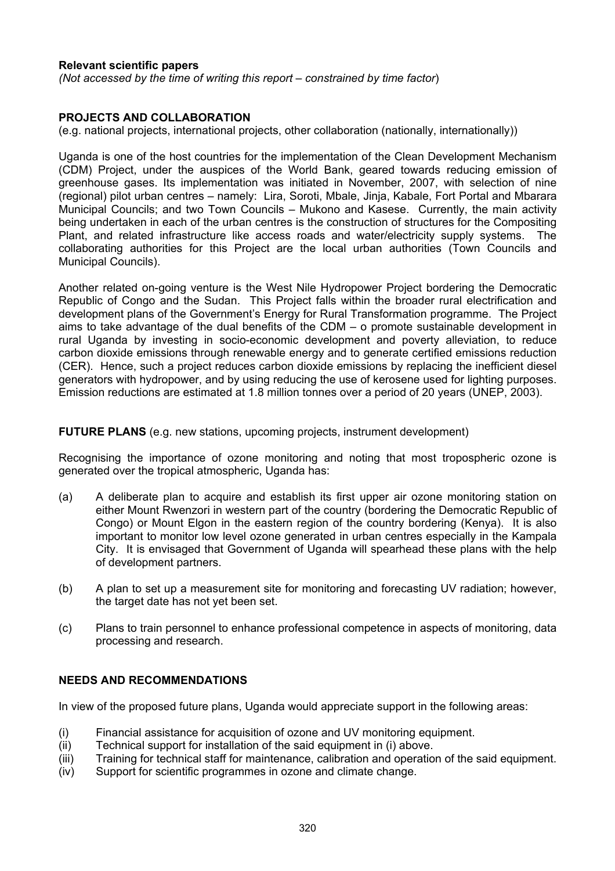## **Relevant scientific papers**

*(Not accessed by the time of writing this report – constrained by time factor*)

## **PROJECTS AND COLLABORATION**

(e.g. national projects, international projects, other collaboration (nationally, internationally))

Uganda is one of the host countries for the implementation of the Clean Development Mechanism (CDM) Project, under the auspices of the World Bank, geared towards reducing emission of greenhouse gases. Its implementation was initiated in November, 2007, with selection of nine (regional) pilot urban centres – namely: Lira, Soroti, Mbale, Jinja, Kabale, Fort Portal and Mbarara Municipal Councils; and two Town Councils – Mukono and Kasese. Currently, the main activity being undertaken in each of the urban centres is the construction of structures for the Compositing Plant, and related infrastructure like access roads and water/electricity supply systems. The collaborating authorities for this Project are the local urban authorities (Town Councils and Municipal Councils).

Another related on-going venture is the West Nile Hydropower Project bordering the Democratic Republic of Congo and the Sudan. This Project falls within the broader rural electrification and development plans of the Government's Energy for Rural Transformation programme. The Project aims to take advantage of the dual benefits of the CDM – o promote sustainable development in rural Uganda by investing in socio-economic development and poverty alleviation, to reduce carbon dioxide emissions through renewable energy and to generate certified emissions reduction (CER). Hence, such a project reduces carbon dioxide emissions by replacing the inefficient diesel generators with hydropower, and by using reducing the use of kerosene used for lighting purposes. Emission reductions are estimated at 1.8 million tonnes over a period of 20 years (UNEP, 2003).

**FUTURE PLANS** (e.g. new stations, upcoming projects, instrument development)

Recognising the importance of ozone monitoring and noting that most tropospheric ozone is generated over the tropical atmospheric, Uganda has:

- (a) A deliberate plan to acquire and establish its first upper air ozone monitoring station on either Mount Rwenzori in western part of the country (bordering the Democratic Republic of Congo) or Mount Elgon in the eastern region of the country bordering (Kenya). It is also important to monitor low level ozone generated in urban centres especially in the Kampala City. It is envisaged that Government of Uganda will spearhead these plans with the help of development partners.
- (b) A plan to set up a measurement site for monitoring and forecasting UV radiation; however, the target date has not yet been set.
- (c) Plans to train personnel to enhance professional competence in aspects of monitoring, data processing and research.

# **NEEDS AND RECOMMENDATIONS**

In view of the proposed future plans, Uganda would appreciate support in the following areas:

- (i) Financial assistance for acquisition of ozone and UV monitoring equipment.
- (ii) Technical support for installation of the said equipment in (i) above.
- (iii) Training for technical staff for maintenance, calibration and operation of the said equipment.
- (iv) Support for scientific programmes in ozone and climate change.